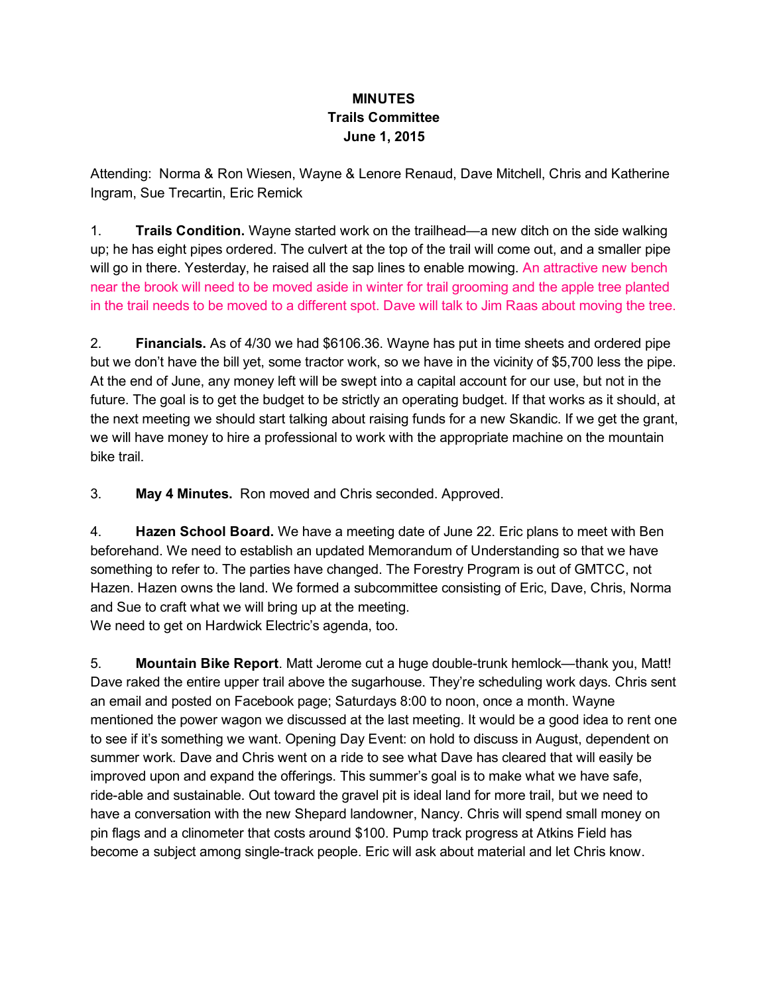## MINUTES Trails Committee June 1, 2015

Attending: Norma & Ron Wiesen, Wayne & Lenore Renaud, Dave Mitchell, Chris and Katherine Ingram, Sue Trecartin, Eric Remick

1. Trails Condition. Wayne started work on the trailhead—a new ditch on the side walking up; he has eight pipes ordered. The culvert at the top of the trail will come out, and a smaller pipe will go in there. Yesterday, he raised all the sap lines to enable mowing. An attractive new bench near the brook will need to be moved aside in winter for trail grooming and the apple tree planted in the trail needs to be moved to a different spot. Dave will talk to Jim Raas about moving the tree.

2. Financials. As of 4/30 we had \$6106.36. Wayne has put in time sheets and ordered pipe but we don't have the bill yet, some tractor work, so we have in the vicinity of \$5,700 less the pipe. At the end of June, any money left will be swept into a capital account for our use, but not in the future. The goal is to get the budget to be strictly an operating budget. If that works as it should, at the next meeting we should start talking about raising funds for a new Skandic. If we get the grant, we will have money to hire a professional to work with the appropriate machine on the mountain bike trail.

3. May 4 Minutes. Ron moved and Chris seconded. Approved.

4. **Hazen School Board.** We have a meeting date of June 22. Eric plans to meet with Ben beforehand. We need to establish an updated Memorandum of Understanding so that we have something to refer to. The parties have changed. The Forestry Program is out of GMTCC, not Hazen. Hazen owns the land. We formed a subcommittee consisting of Eric, Dave, Chris, Norma and Sue to craft what we will bring up at the meeting.

We need to get on Hardwick Electric's agenda, too.

5. Mountain Bike Report. Matt Jerome cut a huge double-trunk hemlock—thank you, Matt! Dave raked the entire upper trail above the sugarhouse. They're scheduling work days. Chris sent an email and posted on Facebook page; Saturdays 8:00 to noon, once a month. Wayne mentioned the power wagon we discussed at the last meeting. It would be a good idea to rent one to see if it's something we want. Opening Day Event: on hold to discuss in August, dependent on summer work. Dave and Chris went on a ride to see what Dave has cleared that will easily be improved upon and expand the offerings. This summer's goal is to make what we have safe, ride-able and sustainable. Out toward the gravel pit is ideal land for more trail, but we need to have a conversation with the new Shepard landowner, Nancy. Chris will spend small money on pin flags and a clinometer that costs around \$100. Pump track progress at Atkins Field has become a subject among single-track people. Eric will ask about material and let Chris know.